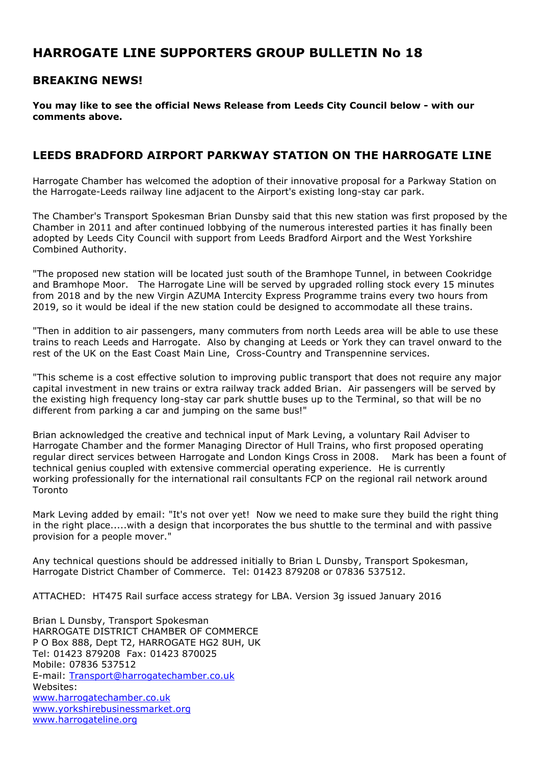# **HARROGATE LINE SUPPORTERS GROUP BULLETIN No 18**

# **BREAKING NEWS!**

**You may like to see the official News Release from Leeds City Council below - with our comments above.**

# **LEEDS BRADFORD AIRPORT PARKWAY STATION ON THE HARROGATE LINE**

Harrogate Chamber has welcomed the adoption of their innovative proposal for a Parkway Station on the Harrogate-Leeds railway line adjacent to the Airport's existing long-stay car park.

The Chamber's Transport Spokesman Brian Dunsby said that this new station was first proposed by the Chamber in 2011 and after continued lobbying of the numerous interested parties it has finally been adopted by Leeds City Council with support from Leeds Bradford Airport and the West Yorkshire Combined Authority.

"The proposed new station will be located just south of the Bramhope Tunnel, in between Cookridge and Bramhope Moor. The Harrogate Line will be served by upgraded rolling stock every 15 minutes from 2018 and by the new Virgin AZUMA Intercity Express Programme trains every two hours from 2019, so it would be ideal if the new station could be designed to accommodate all these trains.

"Then in addition to air passengers, many commuters from north Leeds area will be able to use these trains to reach Leeds and Harrogate. Also by changing at Leeds or York they can travel onward to the rest of the UK on the East Coast Main Line, Cross-Country and Transpennine services.

"This scheme is a cost effective solution to improving public transport that does not require any major capital investment in new trains or extra railway track added Brian. Air passengers will be served by the existing high frequency long-stay car park shuttle buses up to the Terminal, so that will be no different from parking a car and jumping on the same bus!"

Brian acknowledged the creative and technical input of Mark Leving, a voluntary Rail Adviser to Harrogate Chamber and the former Managing Director of Hull Trains, who first proposed operating regular direct services between Harrogate and London Kings Cross in 2008. Mark has been a fount of technical genius coupled with extensive commercial operating experience. He is currently working professionally for the international rail consultants FCP on the regional rail network around Toronto

Mark Leving added by email: "It's not over yet! Now we need to make sure they build the right thing in the right place.....with a design that incorporates the bus shuttle to the terminal and with passive provision for a people mover."

Any technical questions should be addressed initially to Brian L Dunsby, Transport Spokesman, Harrogate District Chamber of Commerce. Tel: 01423 879208 or 07836 537512.

ATTACHED: HT475 Rail surface access strategy for LBA. Version 3g issued January 2016

Brian L Dunsby, Transport Spokesman HARROGATE DISTRICT CHAMBER OF COMMERCE P O Box 888, Dept T2, HARROGATE HG2 8UH, UK Tel: 01423 879208 Fax: 01423 870025 Mobile: 07836 537512 E-mail: Transport@harrogatechamber.co.uk Websites: www.harrogatechamber.co.uk www.yorkshirebusinessmarket.org www.harrogateline.org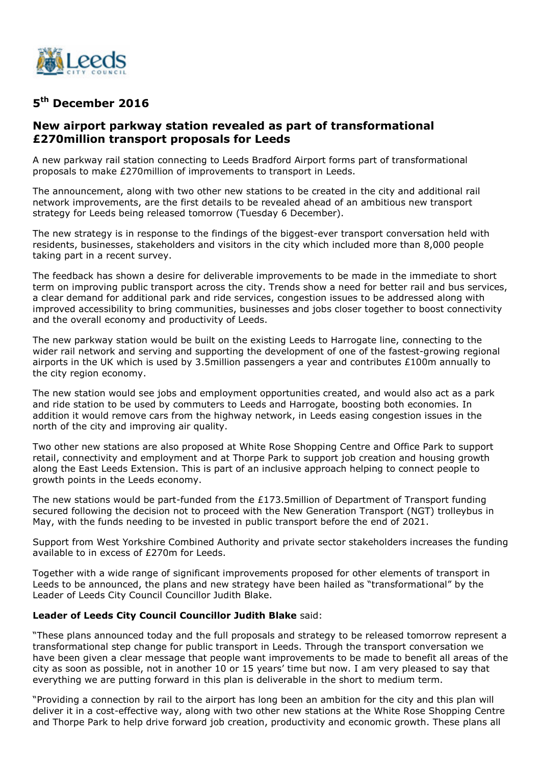

# **5 th December 2016**

# **New airport parkway station revealed as part of transformational £270million transport proposals for Leeds**

A new parkway rail station connecting to Leeds Bradford Airport forms part of transformational proposals to make £270million of improvements to transport in Leeds.

The announcement, along with two other new stations to be created in the city and additional rail network improvements, are the first details to be revealed ahead of an ambitious new transport strategy for Leeds being released tomorrow (Tuesday 6 December).

The new strategy is in response to the findings of the biggest-ever transport conversation held with residents, businesses, stakeholders and visitors in the city which included more than 8,000 people taking part in a recent survey.

The feedback has shown a desire for deliverable improvements to be made in the immediate to short term on improving public transport across the city. Trends show a need for better rail and bus services, a clear demand for additional park and ride services, congestion issues to be addressed along with improved accessibility to bring communities, businesses and jobs closer together to boost connectivity and the overall economy and productivity of Leeds.

The new parkway station would be built on the existing Leeds to Harrogate line, connecting to the wider rail network and serving and supporting the development of one of the fastest-growing regional airports in the UK which is used by 3.5million passengers a year and contributes £100m annually to the city region economy.

The new station would see jobs and employment opportunities created, and would also act as a park and ride station to be used by commuters to Leeds and Harrogate, boosting both economies. In addition it would remove cars from the highway network, in Leeds easing congestion issues in the north of the city and improving air quality.

Two other new stations are also proposed at White Rose Shopping Centre and Office Park to support retail, connectivity and employment and at Thorpe Park to support job creation and housing growth along the East Leeds Extension. This is part of an inclusive approach helping to connect people to growth points in the Leeds economy.

The new stations would be part-funded from the £173.5million of Department of Transport funding secured following the decision not to proceed with the New Generation Transport (NGT) trolleybus in May, with the funds needing to be invested in public transport before the end of 2021.

Support from West Yorkshire Combined Authority and private sector stakeholders increases the funding available to in excess of £270m for Leeds.

Together with a wide range of significant improvements proposed for other elements of transport in Leeds to be announced, the plans and new strategy have been hailed as "transformational" by the Leader of Leeds City Council Councillor Judith Blake.

## **Leader of Leeds City Council Councillor Judith Blake** said:

"These plans announced today and the full proposals and strategy to be released tomorrow represent a transformational step change for public transport in Leeds. Through the transport conversation we have been given a clear message that people want improvements to be made to benefit all areas of the city as soon as possible, not in another 10 or 15 years' time but now. I am very pleased to say that everything we are putting forward in this plan is deliverable in the short to medium term.

"Providing a connection by rail to the airport has long been an ambition for the city and this plan will deliver it in a cost-effective way, along with two other new stations at the White Rose Shopping Centre and Thorpe Park to help drive forward job creation, productivity and economic growth. These plans all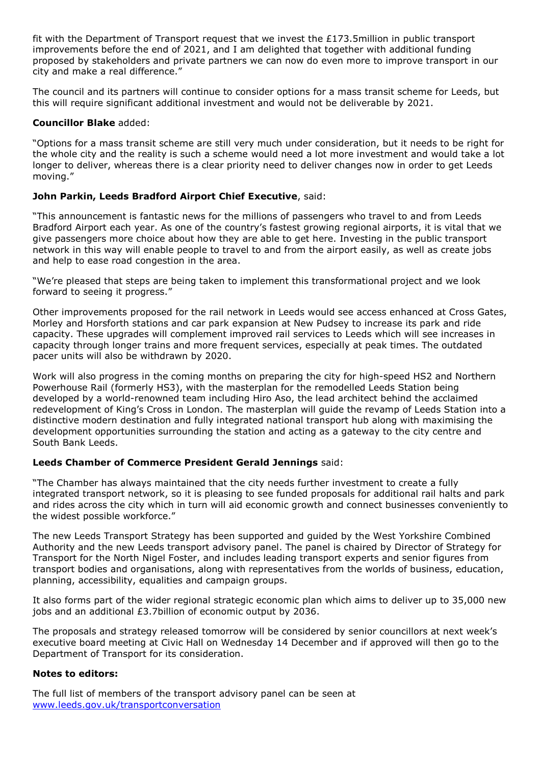fit with the Department of Transport request that we invest the £173.5million in public transport improvements before the end of 2021, and I am delighted that together with additional funding proposed by stakeholders and private partners we can now do even more to improve transport in our city and make a real difference."

The council and its partners will continue to consider options for a mass transit scheme for Leeds, but this will require significant additional investment and would not be deliverable by 2021.

#### **Councillor Blake** added:

"Options for a mass transit scheme are still very much under consideration, but it needs to be right for the whole city and the reality is such a scheme would need a lot more investment and would take a lot longer to deliver, whereas there is a clear priority need to deliver changes now in order to get Leeds moving."

## **John Parkin, Leeds Bradford Airport Chief Executive**, said:

"This announcement is fantastic news for the millions of passengers who travel to and from Leeds Bradford Airport each year. As one of the country's fastest growing regional airports, it is vital that we give passengers more choice about how they are able to get here. Investing in the public transport network in this way will enable people to travel to and from the airport easily, as well as create jobs and help to ease road congestion in the area.

"We're pleased that steps are being taken to implement this transformational project and we look forward to seeing it progress."

Other improvements proposed for the rail network in Leeds would see access enhanced at Cross Gates, Morley and Horsforth stations and car park expansion at New Pudsey to increase its park and ride capacity. These upgrades will complement improved rail services to Leeds which will see increases in capacity through longer trains and more frequent services, especially at peak times. The outdated pacer units will also be withdrawn by 2020.

Work will also progress in the coming months on preparing the city for high-speed HS2 and Northern Powerhouse Rail (formerly HS3), with the masterplan for the remodelled Leeds Station being developed by a world-renowned team including Hiro Aso, the lead architect behind the acclaimed redevelopment of King's Cross in London. The masterplan will guide the revamp of Leeds Station into a distinctive modern destination and fully integrated national transport hub along with maximising the development opportunities surrounding the station and acting as a gateway to the city centre and South Bank Leeds.

## **Leeds Chamber of Commerce President Gerald Jennings** said:

"The Chamber has always maintained that the city needs further investment to create a fully integrated transport network, so it is pleasing to see funded proposals for additional rail halts and park and rides across the city which in turn will aid economic growth and connect businesses conveniently to the widest possible workforce."

The new Leeds Transport Strategy has been supported and guided by the West Yorkshire Combined Authority and the new Leeds transport advisory panel. The panel is chaired by Director of Strategy for Transport for the North Nigel Foster, and includes leading transport experts and senior figures from transport bodies and organisations, along with representatives from the worlds of business, education, planning, accessibility, equalities and campaign groups.

It also forms part of the wider regional strategic economic plan which aims to deliver up to 35,000 new jobs and an additional £3.7billion of economic output by 2036.

The proposals and strategy released tomorrow will be considered by senior councillors at next week's executive board meeting at Civic Hall on Wednesday 14 December and if approved will then go to the Department of Transport for its consideration.

#### **Notes to editors:**

The full list of members of the transport advisory panel can be seen at www.leeds.gov.uk/transportconversation